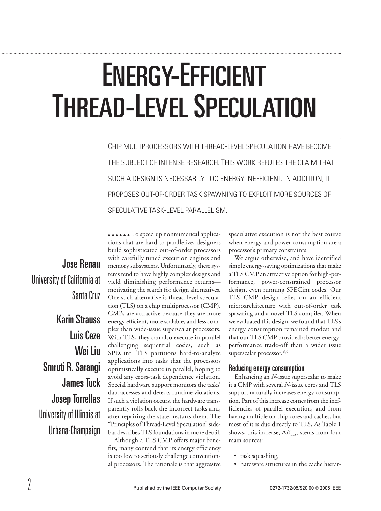# ENERGY-EFFICIENT **THREAD-LEVEL SPECULATION**

CHIP MULTIPROCESSORS WITH THREAD-LEVEL SPECULATION HAVE BECOME THE SUBJECT OF INTENSE RESEARCH. THIS WORK REFUTES THE CLAIM THAT SUCH A DESIGN IS NECESSARILY TOO ENERGY INEFFICIENT. IN ADDITION, IT PROPOSES OUT-OF-ORDER TASK SPAWNING TO EXPLOIT MORE SOURCES OF SPECULATIVE TASK-LEVEL PARALLELISM.

Jose Renau University of California at Santa Cruz Karin Strauss

Luis Ceze Wei Liu Smruti R. Sarangi James Tuck Josep Torrellas University of Illinois at Urbana-Champaign

To speed up nonnumerical applications that are hard to parallelize, designers build sophisticated out-of-order processors with carefully tuned execution engines and memory subsystems. Unfortunately, these systems tend to have highly complex designs and yield diminishing performance returns motivating the search for design alternatives. One such alternative is thread-level speculation (TLS) on a chip multiprocessor (CMP). CMPs are attractive because they are more energy efficient, more scalable, and less complex than wide-issue superscalar processors. With TLS, they can also execute in parallel challenging sequential codes, such as SPECint. TLS partitions hard-to-analyze applications into tasks that the processors optimistically execute in parallel, hoping to avoid any cross-task dependence violation. Special hardware support monitors the tasks' data accesses and detects runtime violations. If such a violation occurs, the hardware transparently rolls back the incorrect tasks and, after repairing the state, restarts them. The "Principles of Thread-Level Speculation" sidebar describes TLS foundations in more detail.

Although a TLS CMP offers major benefits, many contend that its energy efficiency is too low to seriously challenge conventional processors. The rationale is that aggressive

speculative execution is not the best course when energy and power consumption are a processor's primary constraints.

We argue otherwise, and have identified simple energy-saving optimizations that make a TLS CMP an attractive option for high-performance, power-constrained processor design, even running SPECint codes. Our TLS CMP design relies on an efficient microarchitecture with out-of-order task spawning and a novel TLS compiler. When we evaluated this design, we found that TLS's energy consumption remained modest and that our TLS CMP provided a better energyperformance trade-off than a wider issue superscalar processor.<sup>6,9</sup>

## Reducing energy consumption

Enhancing an *N*-issue superscalar to make it a CMP with several *N*-issue cores and TLS support naturally increases energy consumption. Part of this increase comes from the inefficiencies of parallel execution, and from having multiple on-chip cores and caches, but most of it is due directly to TLS. As Table 1 shows, this increase,  $\Delta E$ <sub>TLS</sub>, stems from four main sources:

- task squashing,
- hardware structures in the cache hierar-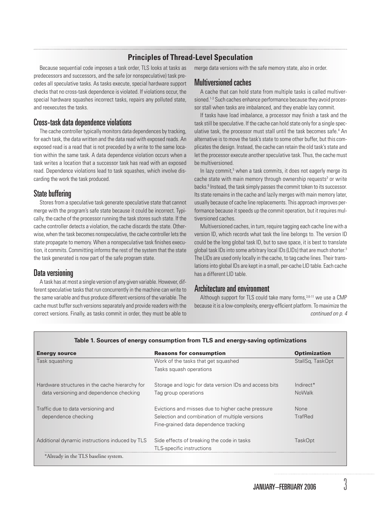# **Principles of Thread-Level Speculation**

Because sequential code imposes a task order, TLS looks at tasks as predecessors and successors, and the safe (or nonspeculative) task precedes all speculative tasks. As tasks execute, special hardware support checks that no cross-task dependence is violated. If violations occur, the special hardware squashes incorrect tasks, repairs any polluted state, and reexecutes the tasks.

# Cross-task data dependence violations

The cache controller typically monitors data dependences by tracking, for each task, the data written and the data read with exposed reads. An exposed read is a read that is not preceded by a write to the same location within the same task. A data dependence violation occurs when a task writes a location that a successor task has read with an exposed read. Dependence violations lead to task squashes, which involve discarding the work the task produced.

# State buffering

Stores from a speculative task generate speculative state that cannot merge with the program's safe state because it could be incorrect. Typically, the cache of the processor running the task stores such state. If the cache controller detects a violation, the cache discards the state. Otherwise, when the task becomes nonspeculative, the cache controller lets the state propagate to memory. When a nonspeculative task finishes execution, it commits. Committing informs the rest of the system that the state the task generated is now part of the safe program state.

# Data versioning

A task has at most a single version of any given variable. However, different speculative tasks that run concurrently in the machine can write to the same variable and thus produce different versions of the variable. The cache must buffer such versions separately and provide readers with the correct versions. Finally, as tasks commit in order, they must be able to merge data versions with the safe memory state, also in order.

# Multiversioned caches

A cache that can hold state from multiple tasks is called multiversioned.<sup>1-3</sup> Such caches enhance performance because they avoid processor stall when tasks are imbalanced, and they enable lazy commit.

If tasks have load imbalance, a processor may finish a task and the task still be speculative. If the cache can hold state only for a single speculative task, the processor must stall until the task becomes safe.<sup>4</sup> An alternative is to move the task's state to some other buffer, but this complicates the design. Instead, the cache can retain the old task's state and let the processor execute another speculative task. Thus, the cache must be multiversioned.

In lazy commit,<sup>5</sup> when a task commits, it does not eagerly merge its cache state with main memory through ownership requests<sup>3</sup> or write backs.<sup>6</sup> Instead, the task simply passes the commit token to its successor. Its state remains in the cache and lazily merges with main memory later, usually because of cache line replacements. This approach improves performance because it speeds up the commit operation, but it requires multiversioned caches.

Multiversioned caches, in turn, require tagging each cache line with a version ID, which records what task the line belongs to. The version ID could be the long global task ID, but to save space, it is best to translate global task IDs into some arbitrary local IDs (LIDs) that are much shorter.<sup>3</sup> The LIDs are used only locally in the cache, to tag cache lines. Their translations into global IDs are kept in a small, per-cache LID table. Each cache has a different LID table.

# Architecture and environment

Although support for TLS could take many forms, 3,6-11 we use a CMP because it is a low-complexity, energy-efficient platform. To maximize the continued on p. 4

| <b>Energy source</b>                           | <b>Reasons for consumption</b>                         | <b>Optimization</b>   |
|------------------------------------------------|--------------------------------------------------------|-----------------------|
| Task squashing                                 | Work of the tasks that get squashed                    | StallSq, TaskOpt      |
|                                                | Tasks squash operations                                |                       |
| Hardware structures in the cache hierarchy for | Storage and logic for data version IDs and access bits | Indirect <sup>*</sup> |
| data versioning and dependence checking        | Tag group operations                                   | <b>NoWalk</b>         |
| Traffic due to data versioning and             | Evictions and misses due to higher cache pressure      | None                  |
| dependence checking                            | Selection and combination of multiple versions         | <b>TrafRed</b>        |
|                                                | Fine-grained data dependence tracking                  |                       |
| Additional dynamic instructions induced by TLS | Side effects of breaking the code in tasks             | <b>TaskOpt</b>        |
|                                                | TLS-specific instructions                              |                       |

## **Table 1. Sources of energy consumption from TLS and energy-saving optimizations**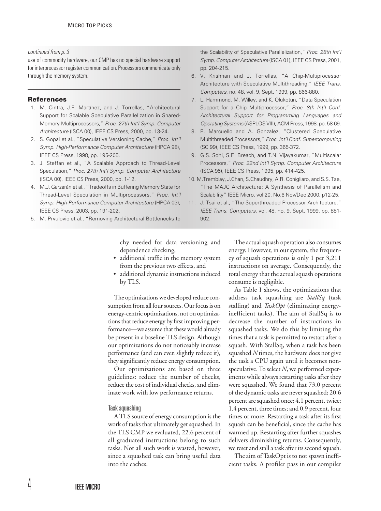## continued from p. 3

use of commodity hardware, our CMP has no special hardware support for interprocessor register communication. Processors communicate only through the memory system.

## **References**

- 1. M. Cintra, J.F. Martínez, and J. Torrellas, "Architectural Support for Scalable Speculative Parallelization in Shared-Memory Multiprocessors," Proc. 27th Int'l Symp. Computer Architecture (ISCA 00), IEEE CS Press, 2000, pp. 13-24.
- 2. S. Gopal et al., "Speculative Versioning Cache," Proc. Int'l Symp. High-Performance Computer Architecture (HPCA 98), IEEE CS Press, 1998, pp. 195-205.
- 3. J. Steffan et al., "A Scalable Approach to Thread-Level Speculation," Proc. 27th Int'l Symp. Computer Architecture (ISCA 00), IEEE CS Press, 2000, pp. 1-12.
- 4. M.J. Garzarán et al., "Tradeoffs in Buffering Memory State for Thread-Level Speculation in Multiprocessors," Proc. Int'l Symp. High-Performance Computer Architecture (HPCA 03), IEEE CS Press, 2003, pp. 191-202.
- 5. M. Prvulovic et al., "Removing Architectural Bottlenecks to

the Scalability of Speculative Parallelization," Proc. 28th Int'l Symp. Computer Architecture (ISCA 01), IEEE CS Press, 2001, pp. 204-215.

- 6. V. Krishnan and J. Torrellas, "A Chip-Multiprocessor Architecture with Speculative Multithreading," IEEE Trans. Computers, no. 48, vol. 9, Sept. 1999, pp. 866-880.
- 7. L. Hammond, M. Willey, and K. Olukotun, "Data Speculation Support for a Chip Multiprocessor," Proc. 8th Int'l Conf. Architectural Support for Programming Languages and Operating Systems (ASPLOS VIII), ACM Press, 1998, pp. 58-69.
- 8. P. Marcuello and A. Gonzalez, "Clustered Speculative Multithreaded Processors," Proc. Int'l Conf. Supercomputing (SC 99), IEEE CS Press, 1999, pp. 365-372.
- 9. G.S. Sohi, S.E. Breach, and T.N. Vijayakumar, "Multiscalar Processors," Proc. 22nd Int'l Symp. Computer Architecture (ISCA 95), IEEE CS Press, 1995, pp. 414-425.
- 10. M.Tremblay, J.Chan, S.Chaudhry, A.R. Conigliaro, and S.S. Tse, "The MAJC Architecture: A Synthesis of Parallelism and Scalability" IEEE Micro, vol 20, No.6 Nov/Dec 2000, p12-25.
- 11. J. Tsai et al., "The Superthreaded Processor Architecture," IEEE Trans. Computers, vol. 48, no. 9, Sept. 1999, pp. 881- 902.

chy needed for data versioning and dependence checking,

- additional traffic in the memory system from the previous two effects, and
- additional dynamic instructions induced by TLS.

The optimizations we developed reduce consumption from all four sources. Our focus is on energy-centric optimizations, not on optimizations that reduce energy by first improving performance—we assume that these would already be present in a baseline TLS design. Although our optimizations do not noticeably increase performance (and can even slightly reduce it), they significantly reduce energy consumption.

Our optimizations are based on three guidelines: reduce the number of checks, reduce the cost of individual checks, and eliminate work with low performance returns.

## Task squashing

A TLS source of energy consumption is the work of tasks that ultimately get squashed. In the TLS CMP we evaluated, 22.6 percent of all graduated instructions belong to such tasks. Not all such work is wasted, however, since a squashed task can bring useful data into the caches.

The actual squash operation also consumes energy. However, in our system, the frequency of squash operations is only 1 per 3,211 instructions on average. Consequently, the total energy that the actual squash operations consume is negligible.

As Table 1 shows, the optimizations that address task squashing are *StallSq* (task stalling) and *TaskOpt* (eliminating energyinefficient tasks). The aim of StallSq is to decrease the number of instructions in squashed tasks. We do this by limiting the times that a task is permitted to restart after a squash. With StallSq, when a task has been squashed *N* times, the hardware does not give the task a CPU again until it becomes nonspeculative. To select *N*, we performed experiments while always restarting tasks after they were squashed. We found that 73.0 percent of the dynamic tasks are never squashed; 20.6 percent are squashed once; 4.1 percent, twice; 1.4 percent, three times; and 0.9 percent, four times or more. Restarting a task after its first squash can be beneficial, since the cache has warmed up. Restarting after further squashes delivers diminishing returns. Consequently, we reset and stall a task after its second squash.

The aim of TaskOpt is to not spawn inefficient tasks. A profiler pass in our compiler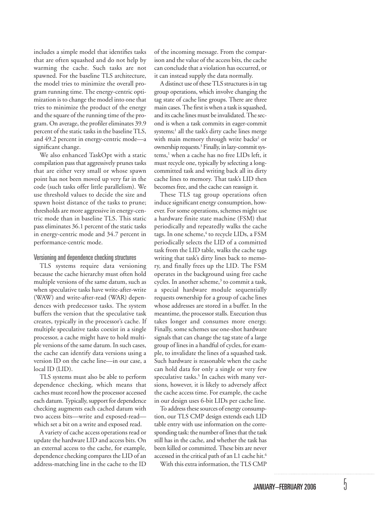includes a simple model that identifies tasks that are often squashed and do not help by warming the cache. Such tasks are not spawned. For the baseline TLS architecture, the model tries to minimize the overall program running time. The energy-centric optimization is to change the model into one that tries to minimize the product of the energy and the square of the running time of the program. On average, the profiler eliminates 39.9 percent of the static tasks in the baseline TLS, and 49.2 percent in energy-centric mode—a significant change.

We also enhanced TaskOpt with a static compilation pass that aggressively prunes tasks that are either very small or whose spawn point has not been moved up very far in the code (such tasks offer little parallelism). We use threshold values to decide the size and spawn hoist distance of the tasks to prune; thresholds are more aggressive in energy-centric mode than in baseline TLS. This static pass eliminates 36.1 percent of the static tasks in energy-centric mode and 34.7 percent in performance-centric mode.

## Versioning and dependence checking structures

TLS systems require data versioning because the cache hierarchy must often hold multiple versions of the same datum, such as when speculative tasks have write-after-write (WAW) and write-after-read (WAR) dependences with predecessor tasks. The system buffers the version that the speculative task creates, typically in the processor's cache. If multiple speculative tasks coexist in a single processor, a cache might have to hold multiple versions of the same datum. In such cases, the cache can identify data versions using a version ID on the cache line—in our case, a local ID (LID).

TLS systems must also be able to perform dependence checking, which means that caches must record how the processor accessed each datum. Typically, support for dependence checking augments each cached datum with two access bits—write and exposed-read which set a bit on a write and exposed read.

A variety of cache access operations read or update the hardware LID and access bits. On an external access to the cache, for example, dependence checking compares the LID of an address-matching line in the cache to the ID

of the incoming message. From the comparison and the value of the access bits, the cache can conclude that a violation has occurred, or it can instead supply the data normally.

A distinct use of these TLS structures is in tag group operations, which involve changing the tag state of cache line groups. There are three main cases. The first is when a task is squashed, and its cache lines must be invalidated. The second is when a task commits in eager-commit  $s$ ystems;<sup>1</sup> all the task's dirty cache lines merge with main memory through write backs<sup>2</sup> or ownership requests.3 Finally, in lazy-commit systems,<sup>1</sup> when a cache has no free LIDs left, it must recycle one, typically by selecting a longcommitted task and writing back all its dirty cache lines to memory. That task's LID then becomes free, and the cache can reassign it.

These TLS tag group operations often induce significant energy consumption, however. For some operations, schemes might use a hardware finite state machine (FSM) that periodically and repeatedly walks the cache tags. In one scheme,<sup>4</sup> to recycle LIDs, a FSM periodically selects the LID of a committed task from the LID table, walks the cache tags writing that task's dirty lines back to memory, and finally frees up the LID. The FSM operates in the background using free cache cycles. In another scheme,<sup>3</sup> to commit a task, a special hardware module sequentially requests ownership for a group of cache lines whose addresses are stored in a buffer. In the meantime, the processor stalls. Execution thus takes longer and consumes more energy. Finally, some schemes use one-shot hardware signals that can change the tag state of a large group of lines in a handful of cycles, for example, to invalidate the lines of a squashed task. Such hardware is reasonable when the cache can hold data for only a single or very few speculative tasks.<sup>5</sup> In caches with many versions, however, it is likely to adversely affect the cache access time. For example, the cache in our design uses 6-bit LIDs per cache line.

To address these sources of energy consumption, our TLS CMP design extends each LID table entry with use information on the corresponding task: the number of lines that the task still has in the cache, and whether the task has been killed or committed. These bits are never accessed in the critical path of an L1 cache hit.<sup>6</sup>

With this extra information, the TLS CMP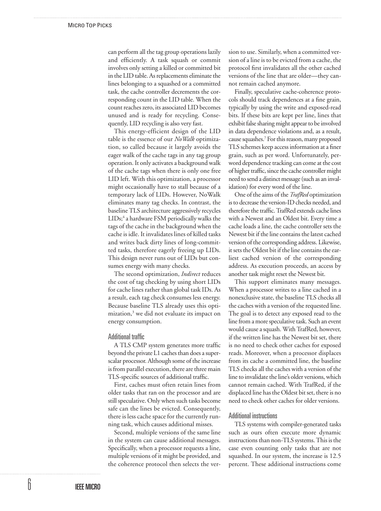can perform all the tag group operations lazily and efficiently. A task squash or commit involves only setting a killed or committed bit in the LID table. As replacements eliminate the lines belonging to a squashed or a committed task, the cache controller decrements the corresponding count in the LID table. When the count reaches zero, its associated LID becomes unused and is ready for recycling. Consequently, LID recycling is also very fast.

This energy-efficient design of the LID table is the essence of our *NoWalk* optimization, so called because it largely avoids the eager walk of the cache tags in any tag group operation. It only activates a background walk of the cache tags when there is only one free LID left. With this optimization, a processor might occasionally have to stall because of a temporary lack of LIDs. However, NoWalk eliminates many tag checks. In contrast, the baseline TLS architecture aggressively recycles LIDs;<sup>4</sup> a hardware FSM periodically walks the tags of the cache in the background when the cache is idle. It invalidates lines of killed tasks and writes back dirty lines of long-committed tasks, therefore eagerly freeing up LIDs. This design never runs out of LIDs but consumes energy with many checks.

The second optimization, *Indirect* reduces the cost of tag checking by using short LIDs for cache lines rather than global task IDs. As a result, each tag check consumes less energy. Because baseline TLS already uses this optimization,<sup>3</sup> we did not evaluate its impact on energy consumption.

#### Additional traffic

A TLS CMP system generates more traffic beyond the private L1 caches than does a superscalar processor. Although some of the increase is from parallel execution, there are three main TLS-specific sources of additional traffic.

First, caches must often retain lines from older tasks that ran on the processor and are still speculative. Only when such tasks become safe can the lines be evicted. Consequently, there is less cache space for the currently running task, which causes additional misses.

Second, multiple versions of the same line in the system can cause additional messages. Specifically, when a processor requests a line, multiple versions of it might be provided, and the coherence protocol then selects the version to use. Similarly, when a committed version of a line is to be evicted from a cache, the protocol first invalidates all the other cached versions of the line that are older—they cannot remain cached anymore.

Finally, speculative cache-coherence protocols should track dependences at a fine grain, typically by using the write and exposed-read bits. If these bits are kept per line, lines that exhibit false sharing might appear to be involved in data dependence violations and, as a result, cause squashes.7 For this reason, many proposed TLS schemes keep access information at a finer grain, such as per word. Unfortunately, perword dependence tracking can come at the cost of higher traffic, since the cache controller might need to send a distinct message (such as an invalidation) for every word of the line.

One of the aims of the *TrafRed* optimization is to decrease the version-ID checks needed, and therefore the traffic. TrafRed extends cache lines with a Newest and an Oldest bit. Every time a cache loads a line, the cache controller sets the Newest bit if the line contains the latest cached version of the corresponding address. Likewise, it sets the Oldest bit if the line contains the earliest cached version of the corresponding address. As execution proceeds, an access by another task might reset the Newest bit.

This support eliminates many messages. When a processor writes to a line cached in a nonexclusive state, the baseline TLS checks all the caches with a version of the requested line. The goal is to detect any exposed read to the line from a more speculative task. Such an event would cause a squash. With TrafRed, however, if the written line has the Newest bit set, there is no need to check other caches for exposed reads. Moreover, when a processor displaces from its cache a committed line, the baseline TLS checks all the caches with a version of the line to invalidate the line's older versions, which cannot remain cached. With TrafRed, if the displaced line has the Oldest bit set, there is no need to check other caches for older versions.

#### Additional instructions

TLS systems with compiler-generated tasks such as ours often execute more dynamic instructions than non-TLS systems. This is the case even counting only tasks that are not squashed. In our system, the increase is 12.5 percent. These additional instructions come

li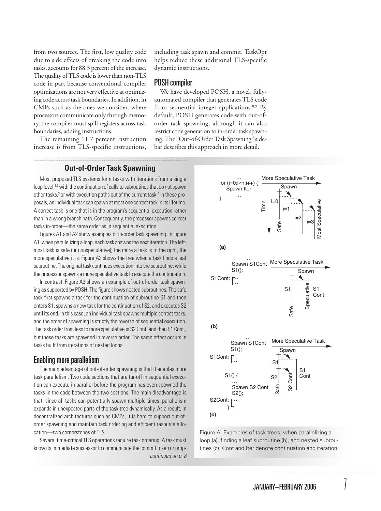from two sources. The first, low quality code due to side effects of breaking the code into tasks, accounts for 88.3 percent of the increase. The quality of TLS code is lower than non-TLS code in part because conventional compiler optimizations are not very effective at optimizing code across task boundaries. In addition, in CMPs such as the ones we consider, where processors communicate only through memory, the compiler must spill registers across task boundaries, adding instructions.

The remaining 11.7 percent instruction increase is from TLS-specific instructions,

including task spawn and commit. TaskOpt helps reduce these additional TLS-specific dynamic instructions.

## POSH compiler

We have developed POSH, a novel, fullyautomated compiler that generates TLS code from sequential integer applications.<sup>8,9</sup> By default, POSH generates code with out-oforder task spawning, although it can also restrict code generation to in-order task spawning. The "Out-of-Order Task Spawning" sidebar describes this approach in more detail.

## **Out-of-Order Task Spawning**

Most proposed TLS systems form tasks with iterations from a single loop level,<sup>1,2</sup> with the continuation of calls to subroutines that do not spawn other tasks,<sup>3</sup> or with execution paths out of the current task.<sup>4</sup> In these proposals, an individual task can spawn at most one correct task in its lifetime. A correct task is one that is in the program's sequential execution rather than in a wrong branch path. Consequently, the processor spawns correct tasks in-order—the same order as in sequential execution.

Figures A1 and A2 show examples of in-order task spawning. In Figure A1, when parallelizing a loop, each task spawns the next iteration. The leftmost task is safe (or nonspeculative); the more a task is to the right, the more speculative it is. Figure A2 shows the tree when a task finds a leaf subroutine. The original task continues execution into the subroutine, while the processor spawns a more speculative task to execute the continuation.

In contrast, Figure A3 shows an example of out-of-order task spawning as supported by POSH. The figure shows nested subroutines. The safe task first spawns a task for the continuation of subroutine S1 and then enters S1, spawns a new task for the continuation of S2, and executes S2 until its end. In this case, an individual task spawns multiple correct tasks, and the order of spawning is strictly the reverse of sequential execution. The task order from less to more speculative is S2 Cont. and then S1 Cont., but these tasks are spawned in reverse order. The same effect occurs in tasks built from iterations of nested loops.

## Enabling more parallelism

The main advantage of out-of-order spawning is that it enables more task parallelism. Two code sections that are far-off in sequential execution can execute in parallel before the program has even spawned the tasks in the code between the two sections. The main disadvantage is that, since all tasks can potentially spawn multiple times, parallelism expands in unexpected parts of the task tree dynamically. As a result, in decentralized architectures such as CMPs, it is hard to support out-oforder spawning and maintain task ordering and efficient resource allocation—two cornerstones of TLS.

Several time-critical TLS operations require task ordering. A task must know its immediate successor to communicate the commit token or propcontinued on p. 8



Figure A. Examples of task trees: when parallelizing a loop (a), finding a leaf subroutine (b), and nested subroutines (c). Cont and Iter denote continuation and iteration.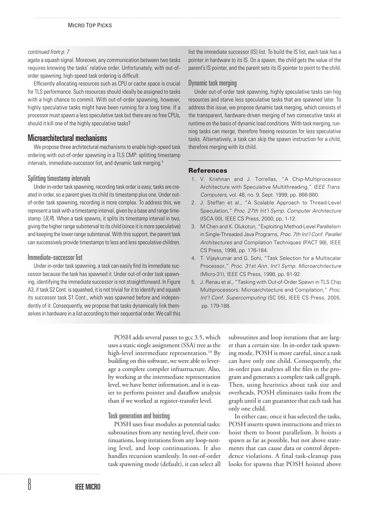### continued from p. 7

agate a squash signal. Moreover, any communication between two tasks requires knowing the tasks' relative order. Unfortunately, with out-oforder spawning, high-speed task ordering is difficult.

Efficiently allocating resources such as CPU or cache space is crucial for TLS performance. Such resources should ideally be assigned to tasks with a high chance to commit. With out-of-order spawning, however, highly speculative tasks might have been running for a long time. If a processor must spawn a less speculative task but there are no free CPUs, should it kill one of the highly speculative tasks?

## Microarchitectural mechanisms

We propose three architectural mechanisms to enable high-speed task ordering with out-of-order spawning in a TLS CMP: splitting timestamp intervals, immediate-successor list, and dynamic task merging.<sup>5</sup>

#### Splitting timestamp intervals

Under in-order task spawning, recording task order is easy; tasks are created in order, so a parent gives its child its timestamp plus one. Under outof-order task spawning, recording is more complex. To address this, we represent a task with a timestamp interval, given by a base and range timestamp:  $\{B, R\}$ . When a task spawns, it splits its timestamp interval in two, giving the higher range subinterval to its child (since it is more speculative) and keeping the lower range subinterval. With this support, the parent task can successively provide timestamps to less and less speculative children.

#### Immediate-successor list

Under in-order task spawning, a task can easily find its immediate successor because the task has spawned it. Under out-of-order task spawning, identifying the immediate successor is not straightforward. In Figure A3, if task S2 Cont. is squashed, it is not trivial for it to identify and squash its successor task S1 Cont., which was spawned before and independently of it. Consequently, we propose that tasks dynamically link themselves in hardware in a list according to their sequential order. We call this list the immediate successor (IS) list. To build the IS list, each task has a pointer in hardware to its IS. On a spawn, the child gets the value of the parent's IS pointer, and the parent sets its IS pointer to point to the child.

#### Dynamic task merging

Under out-of-order task spawning, highly speculative tasks can hog resources and starve less speculative tasks that are spawned later. To address this issue, we propose dynamic task merging, which consists of the transparent, hardware-driven merging of two consecutive tasks at runtime on the basis of dynamic load conditions. With task merging, running tasks can merge, therefore freeing resources for less speculative tasks. Alternatively, a task can skip the spawn instruction for a child, therefore merging with its child.

## **References**

- 1. V. Krishnan and J. Torrellas, "A Chip-Multiprocessor Architecture with Speculative Multithreading," IEEE Trans. Computers, vol. 48, no. 9, Sept. 1999, pp. 866-880.
- 2. J. Steffan et al., "A Scalable Approach to Thread-Level Speculation," Proc. 27th Int'l Symp. Computer Architecture (ISCA 00), IEEE CS Press, 2000, pp. 1-12.
- 3. M Chen and K. Olukotun, "Exploiting Method-Level Parallelism in Single-Threaded Java Programs, Proc. 7th Int'l Conf. Parallel Architectures and Compilation Techniques (PACT 98), IEEE CS Press, 1998, pp. 176-184.
- 4. T. Vijaykumar and G. Sohi, "Task Selection for a Multiscalar Processor," Proc. 31st Ann. Int'l Symp. Microarchitecture (Micro-31), IEEE CS Press, 1998, pp. 81-92.
- 5. J. Renau et al., "Tasking with Out-of-Order Spawn in TLS Chip Multiprocessors: Microarchitecture and Compilation," Proc. Int'l Conf. Supercomputing (SC 05), IEEE CS Press, 2005, pp. 179-188.

POSH adds several passes to gcc 3.5, which uses a static single assignment (SSA) tree as the high-level intermediate representation.<sup>10</sup> By building on this software, we were able to leverage a complete compiler infrastructure. Also, by working at the intermediate representation level, we have better information, and it is easier to perform pointer and dataflow analysis than if we worked at register-transfer level.

#### Task generation and hoisting

POSH uses four modules as potential tasks: subroutines from any nesting level, their continuations, loop iterations from any loop-nesting level, and loop continuations. It also handles recursion seamlessly. In out-of-order task spawning mode (default), it can select all subroutines and loop iterations that are larger than a certain size. In in-order task spawning mode, POSH is more careful, since a task can have only one child. Consequently, the in-order pass analyzes all the files in the program and generates a complete task call graph. Then, using heuristics about task size and overheads, POSH eliminates tasks from the graph until it can guarantee that each task has only one child.

In either case, once it has selected the tasks, POSH inserts spawn instructions and tries to hoist them to boost parallelism. It hoists a spawn as far as possible, but not above statements that can cause data or control dependence violations. A final task-cleanup pass looks for spawns that POSH hoisted above

8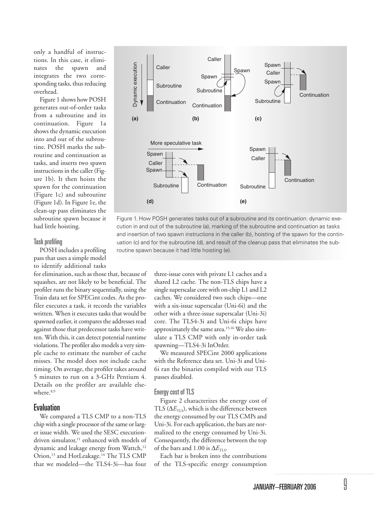only a handful of instructions. In this case, it eliminates the spawn and integrates the two corresponding tasks, thus reducing overhead.

Figure 1 shows how POSH generates out-of-order tasks from a subroutine and its continuation. Figure 1a shows the dynamic execution into and out of the subroutine. POSH marks the subroutine and continuation as tasks, and inserts two spawn instructions in the caller (Figure 1b). It then hoists the spawn for the continuation (Figure 1c) and subroutine (Figure 1d). In Figure 1e, the clean-up pass eliminates the subroutine spawn because it had little hoisting.

## Task profiling

POSH includes a profiling pass that uses a simple model to identify additional tasks

for elimination, such as those that, because of squashes, are not likely to be beneficial. The profiler runs the binary sequentially, using the Train data set for SPECint codes. As the profiler executes a task, it records the variables written. When it executes tasks that would be spawned earlier, it compares the addresses read against those that predecessor tasks have written. With this, it can detect potential runtime violations. The profiler also models a very simple cache to estimate the number of cache misses. The model does not include cache timing. On average, the profiler takes around 5 minutes to run on a 3-GHz Pentium 4. Details on the profiler are available elsewhere.<sup>8,9</sup>

## Evaluation

We compared a TLS CMP to a non-TLS chip with a single processor of the same or larger issue width. We used the SESC executiondriven simulator,<sup>11</sup> enhanced with models of dynamic and leakage energy from Wattch,<sup>12</sup> Orion,<sup>13</sup> and HotLeakage.<sup>14</sup> The TLS CMP that we modeled—the TLS4-3i—has four



Figure 1. How POSH generates tasks out of a subroutine and its continuation: dynamic execution in and out of the subroutine (a), marking of the subroutine and continuation as tasks and insertion of two spawn instructions in the caller (b), hoisting of the spawn for the continuation (c) and for the subroutine (d), and result of the cleanup pass that eliminates the subroutine spawn because it had little hoisting (e).

> three-issue cores with private L1 caches and a shared L2 cache. The non-TLS chips have a single superscalar core with on-chip L1 and L2 caches. We considered two such chips—one with a six-issue superscalar (Uni-6i) and the other with a three-issue superscalar (Uni-3i) core. The TLS4-3i and Uni-6i chips have approximately the same area.<sup>15,16</sup> We also simulate a TLS CMP with only in-order task spawning—TLS4-3i InOrder.

> We measured SPECint 2000 applications with the Reference data set. Uni-3i and Uni-6i ran the binaries compiled with our TLS passes disabled.

## Energy cost of TLS

Figure 2 characterizes the energy cost of TLS ( $\Delta E_{\text{TS}}$ ), which is the difference between the energy consumed by our TLS CMPs and Uni-3i. For each application, the bars are normalized to the energy consumed by Uni-3i. Consequently, the difference between the top of the bars and 1.00 is ∆*E*<sub>TLS</sub>.

Each bar is broken into the contributions of the TLS-specific energy consumption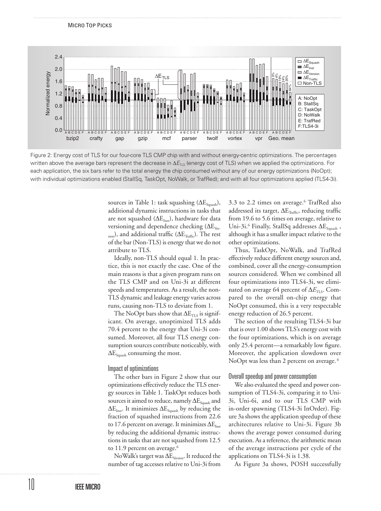

Figure 2: Energy cost of TLS for our four-core TLS CMP chip with and without energy-centric optimizations. The percentages written above the average bars represent the decrease in  $\Delta E_{\text{TLS}}$  (energy cost of TLS) when we applied the optimizations. For each application, the six bars refer to the total energy the chip consumed without any of our energy optimizations (NoOpt); with individual optimizations enabled (StallSq, TaskOpt, NoWalk, or TrafRed); and with all four optimizations applied (TLS4-3i).

sources in Table 1: task squashing ( $\Delta E_{Squash}$ ), additional dynamic instructions in tasks that are not squashed ( $\Delta E_{\text{Inst}}$ ), hardware for data versioning and dependence checking ( $\Delta E_{Ver}$ - $_{\rm sion}$ ), and additional traffic ( $\Delta E_{\rm Taffic}$ ). The rest of the bar (Non-TLS) is energy that we do not attribute to TLS.

Ideally, non-TLS should equal 1. In practice, this is not exactly the case. One of the main reasons is that a given program runs on the TLS CMP and on Uni-3i at different speeds and temperatures. As a result, the non-TLS dynamic and leakage energy varies across runs, causing non-TLS to deviate from 1.

The NoOpt bars show that  $\Delta E_{TLS}$  is significant. On average, unoptimized TLS adds 70.4 percent to the energy that Uni-3i consumed. Moreover, all four TLS energy consumption sources contribute noticeably, with  $\Delta E_{Squash}$  consuming the most.

#### Impact of optimizations

The other bars in Figure 2 show that our optimizations effectively reduce the TLS energy sources in Table 1. TaskOpt reduces both sources it aimed to reduce, namely  $\Delta E_{Soussh}$  and  $\Delta E_{\text{Inst}}$ . It minimizes  $\Delta E_{\text{Squash}}$  by reducing the fraction of squashed instructions from 22.6 to 17.6 percent on average. It minimizes  $\Delta E_{\text{Inst}}$ by reducing the additional dynamic instructions in tasks that are not squashed from 12.5 to 11.9 percent on average.<sup>6</sup>

NoWalk's target was ΔE<sub>Version</sub>. It reduced the number of tag accesses relative to Uni-3i from 3.3 to 2.2 times on average.6 TrafRed also addressed its target,  $\Delta E_{Traffic}$ , reducing traffic from 19.6 to 5.6 times on average, relative to Uni-3i.<sup>6</sup> Finally, StallSq addresses ∆E<sub>Squash</sub>, although it has a smaller impact relative to the other optimizations.

Thus, TaskOpt, NoWalk, and TrafRed effectively reduce different energy sources and, combined, cover all the energy-consumption sources considered. When we combined all four optimizations into TLS4-3i, we eliminated on average 64 percent of ∆*E*<sub>TLS</sub>. Compared to the overall on-chip energy that NoOpt consumed, this is a very respectable energy reduction of 26.5 percent.

The section of the resulting TLS4-3i bar that is over 1.00 shows TLS's energy cost with the four optimizations, which is on average only 25.4 percent—a remarkably low figure. Moreover, the application slowdown over NoOpt was less than 2 percent on average. <sup>6</sup>

#### Overall speedup and power consumption

We also evaluated the speed and power consumption of TLS4-3i, comparing it to Uni-3i, Uni-6i, and to our TLS CMP with in-order spawning (TLS4-3i InOrder). Figure 3a shows the application speedup of these architectures relative to Uni-3i. Figure 3b shows the average power consumed during execution. As a reference, the arithmetic mean of the average instructions per cycle of the applications on TLS4-3i is 1.38.

As Figure 3a shows, POSH successfully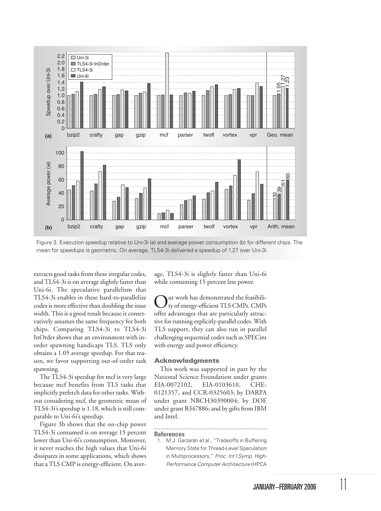



extracts good tasks from these irregular codes, and TLS4-3i is on average slightly faster than Uni-6i. The speculative parallelism that TLS4-3i enables in these hard-to-parallelize codes is more effective than doubling the issue width. This is a good result because it conservatively assumes the same frequency for both chips. Comparing TLS4-3i to TLS4-3i InOrder shows that an environment with inorder spawning handicaps TLS. TLS only obtains a 1.05 average speedup. For that reason, we favor supporting out-of-order task spawning.

The TLS4-3i speedup for mcf is very large because mcf benefits from TLS tasks that implicitly prefetch data for other tasks. Without considering mcf, the geometric mean of TLS4-3i's speedup is 1.18, which is still comparable to Uni-6i's speedup.

Figure 3b shows that the on-chip power TLS4-3i consumed is on average 15 percent lower than Uni-6i's consumption. Moreover, it never reaches the high values that Uni-6i dissipates in some applications, which shows that a TLS CMP is energy-efficient. On aver-

age, TLS4-3i is slightly faster than Uni-6i while consuming 15 percent less power.

Our work has demonstrated the feasibili-<br>ty of energy-efficient TLS CMPs. CMPs offer advantages that are particularly attractive for running explicitly-parallel codes. With TLS support, they can also run in parallel challenging sequential codes such as SPECint with energy and power efficiency.

#### **Acknowledgments**

This work was supported in part by the National Science Foundation under grants EIA-0072102, EIA-0103610, CHE-0121357, and CCR-0325603; by DARPA under grant NBCH30390004; by DOE under grant B347886; and by gifts from IBM and Intel.

#### **References**

<sup>1.</sup> M.J. Garzarán et al., "Tradeoffs in Buffering Memory State for Thread-Level Speculation in Multiprocessors," Proc. Int'l Symp. High-Performance Computer Architecture (HPCA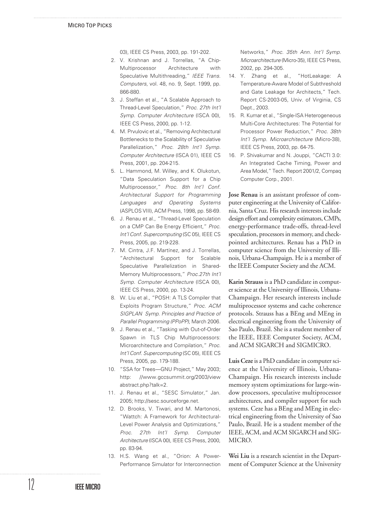03), IEEE CS Press, 2003, pp. 191-202.

- 2. V. Krishnan and J. Torrellas, "A Chip-Multiprocessor Architecture with Speculative Multithreading," IEEE Trans. Computers, vol. 48, no. 9, Sept. 1999, pp. 866-880.
- 3. J. Steffan et al., "A Scalable Approach to Thread-Level Speculation," Proc. 27th Int'l Symp. Computer Architecture (ISCA 00), IEEE CS Press, 2000, pp. 1-12.
- 4. M. Prvulovic et al., "Removing Architectural Bottlenecks to the Scalability of Speculative Parallelization," Proc. 28th Int'l Symp. Computer Architecture (ISCA 01), IEEE CS Press, 2001, pp. 204-215.
- 5. L. Hammond, M. Willey, and K. Olukotun, "Data Speculation Support for a Chip Multiprocessor," Proc. 8th Int'l Conf. Architectural Support for Programming Languages and Operating Systems (ASPLOS VIII), ACM Press, 1998, pp. 58-69.
- 6. J. Renau et al., "Thread-Level Speculation on a CMP Can Be Energy Efficient," Proc. Int'l Conf. Supercomputing (SC 05), IEEE CS Press, 2005, pp. 219-228.
- 7. M. Cintra, J.F. Martínez, and J. Torrellas, "Architectural Support for Scalable Speculative Parallelization in Shared-Memory Multiprocessors," Proc.27th Int'l Symp. Computer Architecture (ISCA 00), IEEE CS Press, 2000, pp. 13-24.
- 8. W. Liu et al., "POSH: A TLS Compiler that Exploits Program Structure," Proc. ACM SIGPLAN Symp. Principles and Practice of Parallel Programming (PPoPP), March 2006.
- 9. J. Renau et al., "Tasking with Out-of-Order Spawn in TLS Chip Multiprocessors: Microarchitecture and Compilation," Proc. Int'l Conf. Supercomputing (SC 05), IEEE CS Press, 2005, pp. 179-188.
- 10. "SSA for Trees—GNU Project," May 2003; http: //www.gccsummit.org/2003/view abstract.php?talk=2.
- 11. J. Renau et al., "SESC Simulator," Jan. 2005; http://sesc.sourceforge.net.
- 12. D. Brooks, V. Tiwari, and M. Martonosi, "Wattch: A Framework for Architectural-Level Power Analysis and Optimizations," Proc. 27th Int'l Symp. Computer Architecture (ISCA 00), IEEE CS Press, 2000, pp. 83-94.
- 13. H.S. Wang et al., "Orion: A Power-Performance Simulator for Interconnection

Networks," Proc. 35th Ann. Int'l Symp. Microarchitecture (Micro-35), IEEE CS Press, 2002, pp. 294-305.

- 14. Y. Zhang et al., "HotLeakage: A Temperature-Aware Model of Subthreshold and Gate Leakage for Architects," Tech. Report CS-2003-05, Univ. of Virginia, CS Dept., 2003.
- 15. R. Kumar et al., "Single-ISA Heterogeneous Multi-Core Architectures: The Potential for Processor Power Reduction," Proc. 38th Int'l Symp. Microarchitecture (Micro-38), IEEE CS Press, 2003, pp. 64-75.
- 16. P. Shivakumar and N. Jouppi, "CACTI 3.0: An Integrated Cache Timing, Power and Area Model," Tech. Report 2001/2, Compaq Computer Corp., 2001.

**Jose Renau** is an assistant professor of computer engineering at the University of California, Santa Cruz. His research interests include design effort and complexity estimators, CMPs, energy-performance trade-offs, thread-level speculation, processors in memory, and checkpointed architectures. Renau has a PhD in computer science from the University of Illinois, Urbana-Champaign. He is a member of the IEEE Computer Society and the ACM.

**Karin Strauss** is a PhD candidate in computer science at the University of Illinois, Urbana-Champaign. Her research interests include multiprocessor systems and cache coherence protocols. Strauss has a BEng and MEng in electrical engineering from the University of Sao Paulo, Brazil. She is a student member of the IEEE, IEEE Computer Society, ACM, and ACM SIGARCH and SIGMICRO.

**Luis Ceze** is a PhD candidate in computer science at the University of Illinois, Urbana-Champaign. His research interests include memory system optimizations for large-window processors, speculative multiprocessor architectures, and compiler support for such systems. Ceze has a BEng and MEng in electrical engineering from the University of Sao Paulo, Brazil. He is a student member of the IEEE, ACM, and ACM SIGARCH and SIG-MICRO.

**Wei Liu** is a research scientist in the Department of Computer Science at the University

12